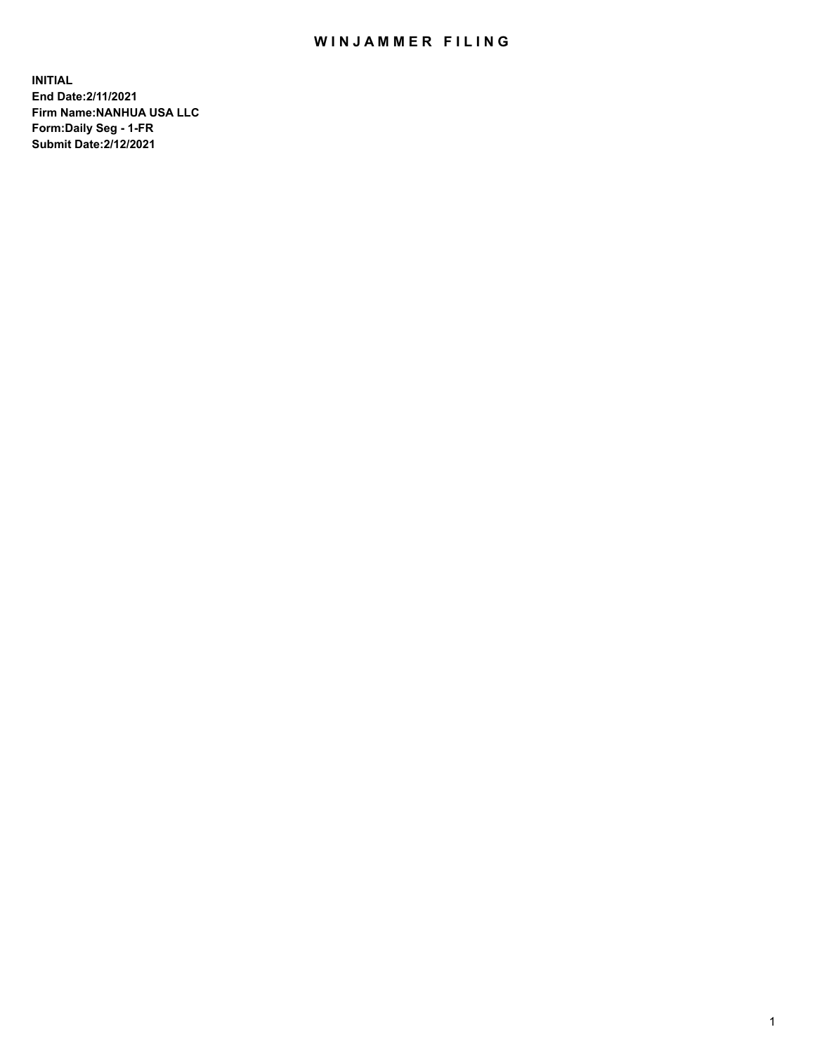## WIN JAMMER FILING

**INITIAL End Date:2/11/2021 Firm Name:NANHUA USA LLC Form:Daily Seg - 1-FR Submit Date:2/12/2021**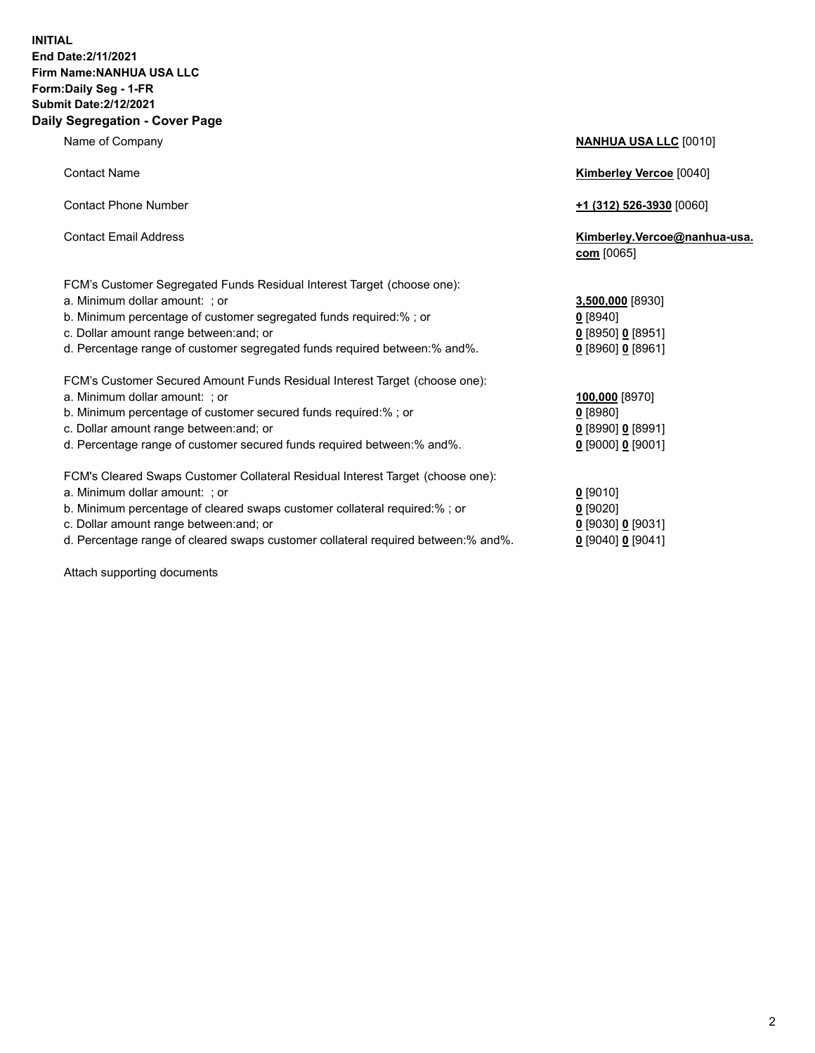## **INITIAL End Date:2/11/2021 Firm Name:NANHUA USA LLC Form:Daily Seg - 1-FR Submit Date:2/12/2021 Daily Segregation - Cover Page**

Name of Company **NANHUA USA LLC** [0010] Contact Name **Kimberley Vercoe** [0040] Contact Phone Number **+1 (312) 526-3930** [0060] Contact Email Address **Kimberley.Vercoe@nanhua-usa. com** [0065] FCM's Customer Segregated Funds Residual Interest Target (choose one): a. Minimum dollar amount: ; or **3,500,000** [8930] b. Minimum percentage of customer segregated funds required:% ; or **0** [8940] c. Dollar amount range between:and; or **0** [8950] **0** [8951] d. Percentage range of customer segregated funds required between:% and%. **0** [8960] **0** [8961] FCM's Customer Secured Amount Funds Residual Interest Target (choose one): a. Minimum dollar amount: ; or **100,000** [8970] b. Minimum percentage of customer secured funds required:% ; or **0** [8980] c. Dollar amount range between:and; or **0** [8990] **0** [8991] d. Percentage range of customer secured funds required between:% and%. **0** [9000] **0** [9001] FCM's Cleared Swaps Customer Collateral Residual Interest Target (choose one): a. Minimum dollar amount: ; or **0** [9010] b. Minimum percentage of cleared swaps customer collateral required:% ; or **0** [9020] c. Dollar amount range between:and; or **0** [9030] **0** [9031]

d. Percentage range of cleared swaps customer collateral required between:% and%. **0** [9040] **0** [9041]

Attach supporting documents

| c. Dollar amount range between: and; or                                        | 0 [8950] 0 [8951  |
|--------------------------------------------------------------------------------|-------------------|
| d. Percentage range of customer segregated funds required between: % and %.    | 0 [8960] 0 [8961  |
| FCM's Customer Secured Amount Funds Residual Interest Target (choose one):     |                   |
| a. Minimum dollar amount: ; or                                                 | 100,000 [8970]    |
| b. Minimum percentage of customer secured funds required: % ; or               | $0$ [8980]        |
| c. Dollar amount range between: and; or                                        | 0 [8990] 0 [8991  |
| d. Percentage range of customer secured funds required between: % and %.       | 0 [9000] 0 [9001  |
| FCM's Cleared Swaps Customer Collateral Residual Interest Target (choose one): |                   |
| a. Minimum dollar amount: ; or                                                 | $0$ [9010]        |
| b. Minimum percentage of cleared swaps customer collateral required:% ; or     | $0$ [9020]        |
| c. Dollar amount range between: and; or                                        | 0 [9030] 0 [9031] |

2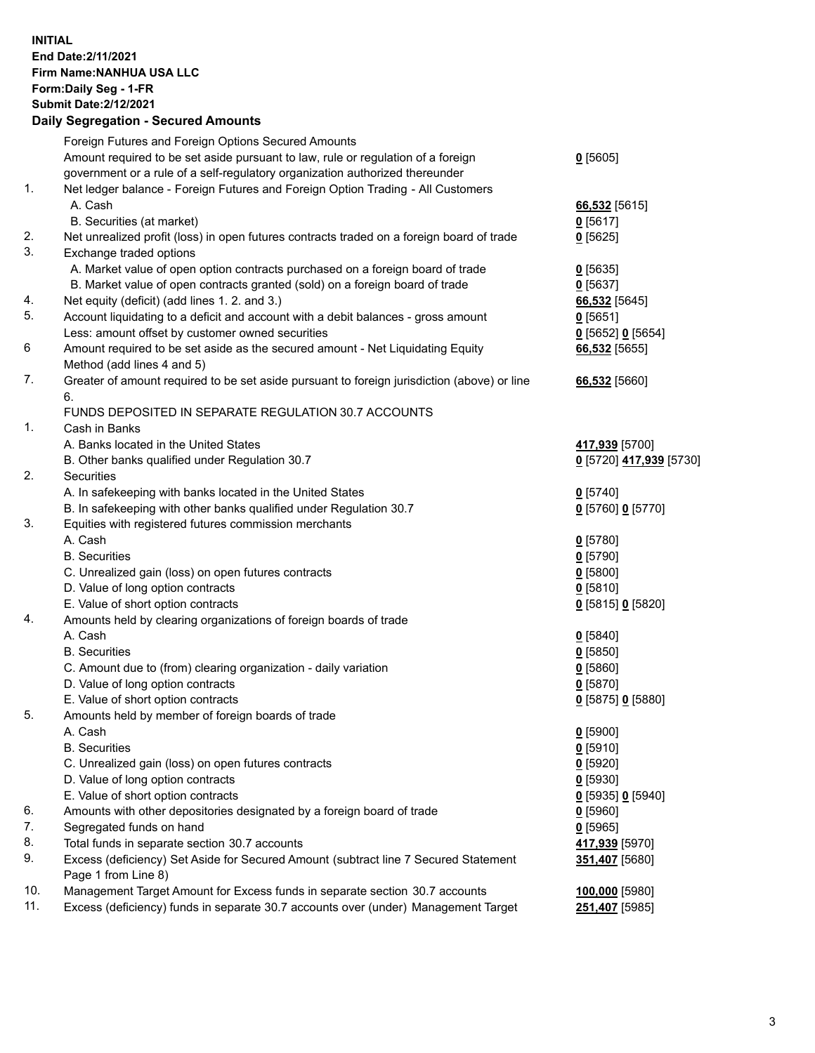## **INITIAL End Date:2/11/2021 Firm Name:NANHUA USA LLC Form:Daily Seg - 1-FR Submit Date:2/12/2021 Daily Segregation - Secured Amounts**

|     | Foreign Futures and Foreign Options Secured Amounts                                         |                          |
|-----|---------------------------------------------------------------------------------------------|--------------------------|
|     | Amount required to be set aside pursuant to law, rule or regulation of a foreign            | $0$ [5605]               |
|     | government or a rule of a self-regulatory organization authorized thereunder                |                          |
| 1.  | Net ledger balance - Foreign Futures and Foreign Option Trading - All Customers             |                          |
|     | A. Cash                                                                                     | 66,532 [5615]            |
|     | B. Securities (at market)                                                                   | $0$ [5617]               |
| 2.  | Net unrealized profit (loss) in open futures contracts traded on a foreign board of trade   | $0$ [5625]               |
| 3.  | Exchange traded options                                                                     |                          |
|     | A. Market value of open option contracts purchased on a foreign board of trade              | $Q$ [5635]               |
|     | B. Market value of open contracts granted (sold) on a foreign board of trade                | $0$ [5637]               |
| 4.  | Net equity (deficit) (add lines 1. 2. and 3.)                                               | 66,532 [5645]            |
| 5.  | Account liquidating to a deficit and account with a debit balances - gross amount           | $0$ [5651]               |
|     | Less: amount offset by customer owned securities                                            | 0 [5652] 0 [5654]        |
| 6   | Amount required to be set aside as the secured amount - Net Liquidating Equity              | 66,532 [5655]            |
|     | Method (add lines 4 and 5)                                                                  |                          |
| 7.  | Greater of amount required to be set aside pursuant to foreign jurisdiction (above) or line | 66,532 [5660]            |
|     | 6.                                                                                          |                          |
|     | FUNDS DEPOSITED IN SEPARATE REGULATION 30.7 ACCOUNTS                                        |                          |
| 1.  | Cash in Banks                                                                               |                          |
|     | A. Banks located in the United States                                                       | 417,939 [5700]           |
|     | B. Other banks qualified under Regulation 30.7                                              | 0 [5720] 417,939 [5730]  |
| 2.  | Securities                                                                                  |                          |
|     | A. In safekeeping with banks located in the United States                                   | $0$ [5740]               |
|     | B. In safekeeping with other banks qualified under Regulation 30.7                          | 0 [5760] 0 [5770]        |
| 3.  | Equities with registered futures commission merchants                                       |                          |
|     | A. Cash                                                                                     | $0$ [5780]               |
|     | <b>B.</b> Securities                                                                        | $0$ [5790]               |
|     | C. Unrealized gain (loss) on open futures contracts                                         | $0$ [5800]               |
|     | D. Value of long option contracts                                                           | $0$ [5810]               |
| 4.  | E. Value of short option contracts                                                          | 0 [5815] 0 [5820]        |
|     | Amounts held by clearing organizations of foreign boards of trade<br>A. Cash                |                          |
|     | <b>B.</b> Securities                                                                        | $0$ [5840]               |
|     | C. Amount due to (from) clearing organization - daily variation                             | $0$ [5850]<br>$0$ [5860] |
|     | D. Value of long option contracts                                                           | $0$ [5870]               |
|     | E. Value of short option contracts                                                          | 0 [5875] 0 [5880]        |
| 5.  | Amounts held by member of foreign boards of trade                                           |                          |
|     | A. Cash                                                                                     | $0$ [5900]               |
|     | <b>B.</b> Securities                                                                        | 0[5910]                  |
|     | C. Unrealized gain (loss) on open futures contracts                                         | $0$ [5920]               |
|     | D. Value of long option contracts                                                           | $0$ [5930]               |
|     | E. Value of short option contracts                                                          | $0$ [5935] 0 [5940]      |
| 6.  | Amounts with other depositories designated by a foreign board of trade                      | $0$ [5960]               |
| 7.  | Segregated funds on hand                                                                    | $0$ [5965]               |
| 8.  | Total funds in separate section 30.7 accounts                                               | 417,939 [5970]           |
| 9.  | Excess (deficiency) Set Aside for Secured Amount (subtract line 7 Secured Statement         | 351,407 [5680]           |
|     | Page 1 from Line 8)                                                                         |                          |
| 10. | Management Target Amount for Excess funds in separate section 30.7 accounts                 | 100,000 [5980]           |
| 11. | Excess (deficiency) funds in separate 30.7 accounts over (under) Management Target          | 251,407 [5985]           |
|     |                                                                                             |                          |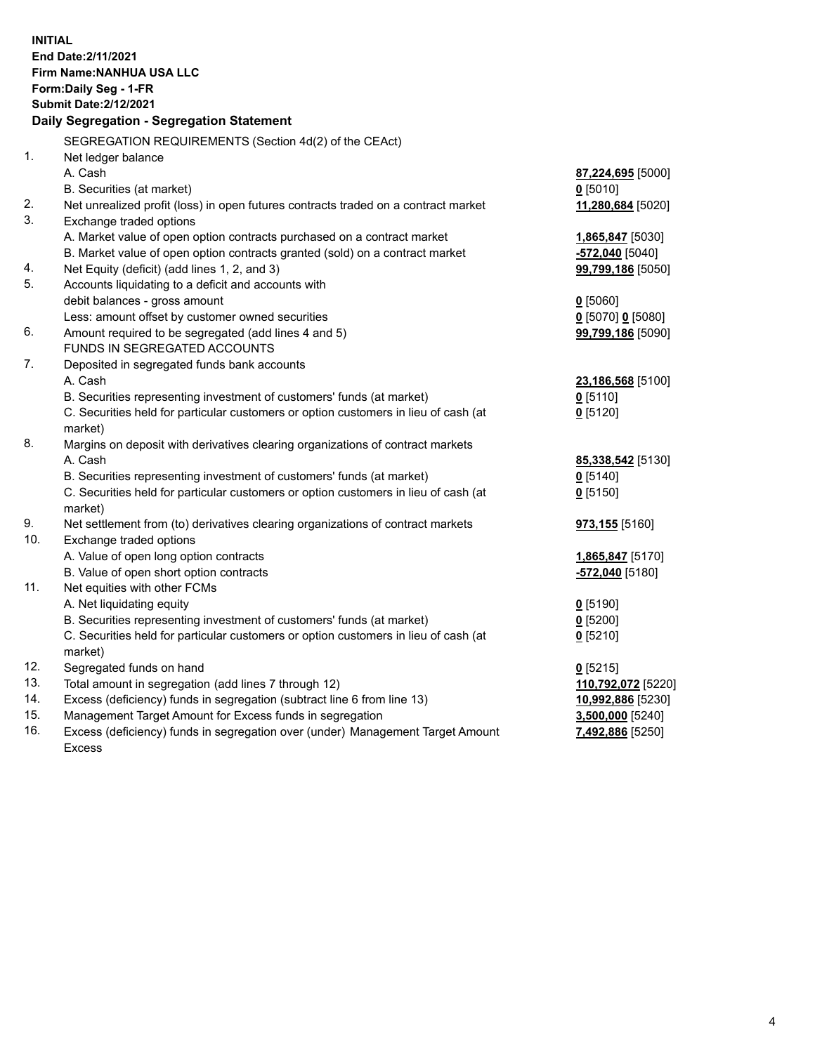**INITIAL End Date:2/11/2021 Firm Name:NANHUA USA LLC Form:Daily Seg - 1-FR Submit Date:2/12/2021 Daily Segregation - Segregation Statement** SEGREGATION REQUIREMENTS (Section 4d(2) of the CEAct) 1. Net ledger balance A. Cash **87,224,695** [5000] B. Securities (at market) **0** [5010] 2. Net unrealized profit (loss) in open futures contracts traded on a contract market **11,280,684** [5020] 3. Exchange traded options A. Market value of open option contracts purchased on a contract market **1,865,847** [5030] B. Market value of open option contracts granted (sold) on a contract market **-572,040** [5040] 4. Net Equity (deficit) (add lines 1, 2, and 3) **99,799,186** [5050] 5. Accounts liquidating to a deficit and accounts with debit balances - gross amount **0** [5060] Less: amount offset by customer owned securities **0** [5070] **0** [5080] 6. Amount required to be segregated (add lines 4 and 5) **99,799,186** [5090] FUNDS IN SEGREGATED ACCOUNTS 7. Deposited in segregated funds bank accounts A. Cash **23,186,568** [5100] B. Securities representing investment of customers' funds (at market) **0** [5110] C. Securities held for particular customers or option customers in lieu of cash (at market) **0** [5120] 8. Margins on deposit with derivatives clearing organizations of contract markets A. Cash **85,338,542** [5130] B. Securities representing investment of customers' funds (at market) **0** [5140] C. Securities held for particular customers or option customers in lieu of cash (at market) **0** [5150] 9. Net settlement from (to) derivatives clearing organizations of contract markets **973,155** [5160] 10. Exchange traded options A. Value of open long option contracts **1,865,847** [5170] B. Value of open short option contracts **-572,040** [5180] 11. Net equities with other FCMs A. Net liquidating equity **0** [5190] B. Securities representing investment of customers' funds (at market) **0** [5200] C. Securities held for particular customers or option customers in lieu of cash (at market) **0** [5210] 12. Segregated funds on hand **0** [5215] 13. Total amount in segregation (add lines 7 through 12) **110,792,072** [5220] 14. Excess (deficiency) funds in segregation (subtract line 6 from line 13) **10,992,886** [5230] 15. Management Target Amount for Excess funds in segregation **3,500,000** [5240] 16. Excess (deficiency) funds in segregation over (under) Management Target Amount Excess **7,492,886** [5250]